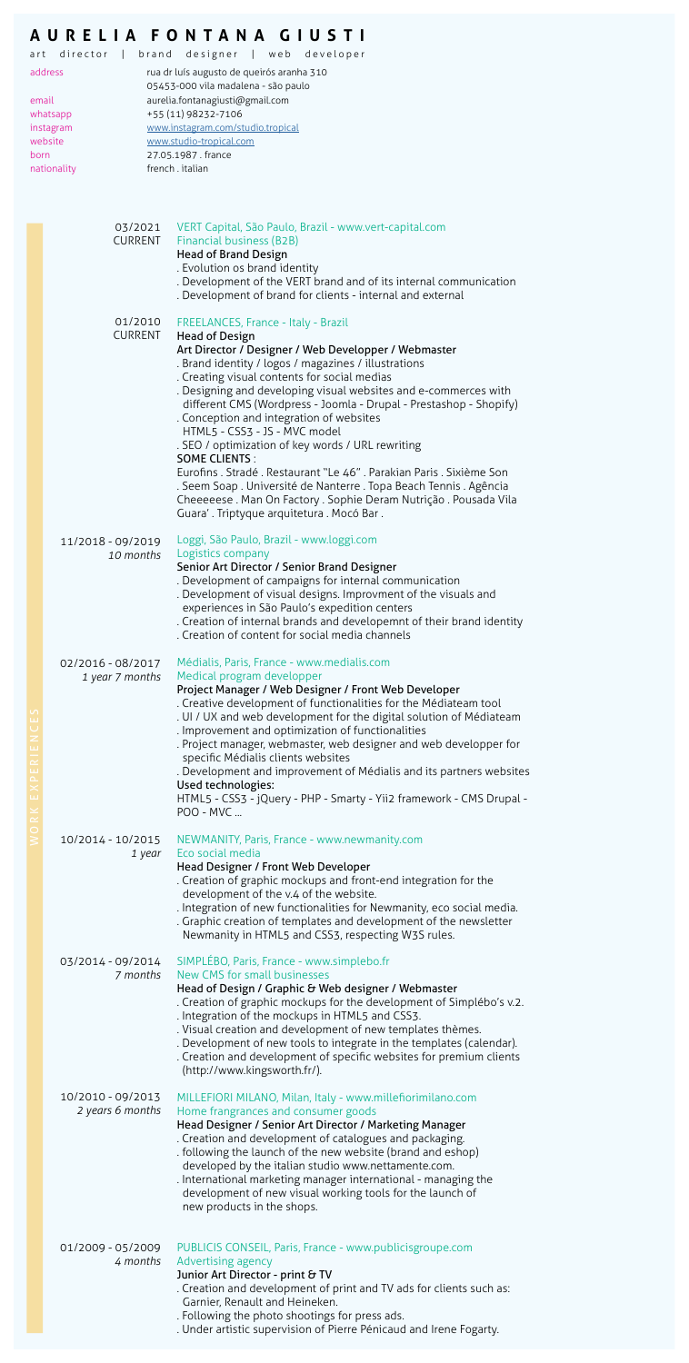## **AURELIA FONTANA GIUSTI**

|                                                                                   | brand designer   web<br>art director  <br>developer<br>address |                                                                                                                                                                             |  |  |  |  |
|-----------------------------------------------------------------------------------|----------------------------------------------------------------|-----------------------------------------------------------------------------------------------------------------------------------------------------------------------------|--|--|--|--|
|                                                                                   |                                                                | rua dr luís augusto de queirós aranha 310<br>05453-000 vila madalena - são paulo                                                                                            |  |  |  |  |
|                                                                                   | aurelia.fontanagiusti@gmail.com<br>email                       |                                                                                                                                                                             |  |  |  |  |
| +55 (11) 98232-7106<br>whatsapp<br>www.instagram.com/studio.tropical<br>instagram |                                                                |                                                                                                                                                                             |  |  |  |  |
|                                                                                   | website                                                        | www.studio-tropical.com<br>27.05.1987, france                                                                                                                               |  |  |  |  |
| born                                                                              | nationality                                                    | french.italian                                                                                                                                                              |  |  |  |  |
|                                                                                   |                                                                |                                                                                                                                                                             |  |  |  |  |
|                                                                                   | 03/2021                                                        | VERT Capital, São Paulo, Brazil - www.vert-capital.com                                                                                                                      |  |  |  |  |
|                                                                                   | CURRENT                                                        | Financial business (B2B)<br><b>Head of Brand Design</b>                                                                                                                     |  |  |  |  |
|                                                                                   |                                                                | . Evolution os brand identity<br>. Development of the VERT brand and of its internal communication                                                                          |  |  |  |  |
|                                                                                   |                                                                | . Development of brand for clients - internal and external                                                                                                                  |  |  |  |  |
|                                                                                   | 01/2010<br><b>CURRENT</b>                                      | FREELANCES, France - Italy - Brazil<br><b>Head of Design</b>                                                                                                                |  |  |  |  |
|                                                                                   |                                                                | Art Director / Designer / Web Developper / Webmaster                                                                                                                        |  |  |  |  |
|                                                                                   |                                                                | . Brand identity / logos / magazines / illustrations<br>. Creating visual contents for social medias                                                                        |  |  |  |  |
|                                                                                   |                                                                | . Designing and developing visual websites and e-commerces with                                                                                                             |  |  |  |  |
|                                                                                   |                                                                | different CMS (Wordpress - Joomla - Drupal - Prestashop - Shopify)<br>. Conception and integration of websites                                                              |  |  |  |  |
|                                                                                   |                                                                | HTML5 - CSS3 - JS - MVC model<br>. SEO / optimization of key words / URL rewriting                                                                                          |  |  |  |  |
|                                                                                   |                                                                | <b>SOME CLIENTS:</b>                                                                                                                                                        |  |  |  |  |
|                                                                                   |                                                                | Eurofins . Stradé. Restaurant "Le 46". Parakian Paris. Sixième Son<br>. Seem Soap. Université de Nanterre. Topa Beach Tennis. Agência                                       |  |  |  |  |
|                                                                                   |                                                                | Cheeeeese. Man On Factory. Sophie Deram Nutrição. Pousada Vila<br>Guara'. Triptyque arquitetura . Mocó Bar.                                                                 |  |  |  |  |
|                                                                                   |                                                                |                                                                                                                                                                             |  |  |  |  |
|                                                                                   | 11/2018 - 09/2019<br>10 months                                 | Loggi, São Paulo, Brazil - www.loggi.com<br>Logistics company                                                                                                               |  |  |  |  |
|                                                                                   |                                                                | Senior Art Director / Senior Brand Designer<br>. Development of campaigns for internal communication                                                                        |  |  |  |  |
|                                                                                   |                                                                | . Development of visual designs. Improvment of the visuals and                                                                                                              |  |  |  |  |
|                                                                                   |                                                                | experiences in São Paulo's expedition centers<br>. Creation of internal brands and developemnt of their brand identity                                                      |  |  |  |  |
|                                                                                   |                                                                | . Creation of content for social media channels                                                                                                                             |  |  |  |  |
|                                                                                   | 02/2016 - 08/2017                                              | Médialis, Paris, France - www.medialis.com<br>Medical program developper                                                                                                    |  |  |  |  |
|                                                                                   | 1 year 7 months                                                | Project Manager / Web Designer / Front Web Developer                                                                                                                        |  |  |  |  |
|                                                                                   |                                                                | . Creative development of functionalities for the Médiateam tool<br>. UI / UX and web development for the digital solution of Médiateam                                     |  |  |  |  |
|                                                                                   |                                                                | . Improvement and optimization of functionalities                                                                                                                           |  |  |  |  |
|                                                                                   |                                                                | . Project manager, webmaster, web designer and web developper for<br>specific Médialis clients websites                                                                     |  |  |  |  |
|                                                                                   |                                                                | Development and improvement of Médialis and its partners websites<br>Used technologies:                                                                                     |  |  |  |  |
| WORL<br>X                                                                         |                                                                | HTML5 - CSS3 - jQuery - PHP - Smarty - Yii2 framework - CMS Drupal -<br>POO - MVC                                                                                           |  |  |  |  |
|                                                                                   | 10/2014 - 10/2015<br>1 year                                    | NEWMANITY, Paris, France - www.newmanity.com<br>Eco social media                                                                                                            |  |  |  |  |
|                                                                                   |                                                                | Head Designer / Front Web Developer<br>. Creation of graphic mockups and front-end integration for the                                                                      |  |  |  |  |
|                                                                                   |                                                                | development of the v.4 of the website.                                                                                                                                      |  |  |  |  |
|                                                                                   |                                                                | . Integration of new functionalities for Newmanity, eco social media.<br>. Graphic creation of templates and development of the newsletter                                  |  |  |  |  |
|                                                                                   |                                                                | Newmanity in HTML5 and CSS3, respecting W3S rules.                                                                                                                          |  |  |  |  |
|                                                                                   | 03/2014 - 09/2014<br>7 months                                  | SIMPLEBO, Paris, France - www.simplebo.fr<br>New CMS for small businesses                                                                                                   |  |  |  |  |
|                                                                                   |                                                                | Head of Design / Graphic & Web designer / Webmaster                                                                                                                         |  |  |  |  |
|                                                                                   |                                                                | . Creation of graphic mockups for the development of Simplébo's v.2.<br>. Integration of the mockups in HTML5 and CSS3.                                                     |  |  |  |  |
|                                                                                   |                                                                | . Visual creation and development of new templates thèmes.                                                                                                                  |  |  |  |  |
|                                                                                   |                                                                | . Development of new tools to integrate in the templates (calendar).<br>. Creation and development of specific websites for premium clients<br>(http://www.kingsworth.fr/). |  |  |  |  |
|                                                                                   | 10/2010 - 09/2013                                              | MILLEFIORI MILANO, Milan, Italy - www.millefiorimilano.com                                                                                                                  |  |  |  |  |
|                                                                                   | 2 years 6 months                                               | Home frangrances and consumer goods<br>Head Designer / Senior Art Director / Marketing Manager                                                                              |  |  |  |  |
|                                                                                   |                                                                | . Creation and development of catalogues and packaging.                                                                                                                     |  |  |  |  |
|                                                                                   |                                                                | . following the launch of the new website (brand and eshop)<br>developed by the italian studio www.nettamente.com.                                                          |  |  |  |  |
|                                                                                   |                                                                | . International marketing manager international - managing the                                                                                                              |  |  |  |  |
|                                                                                   |                                                                | development of new visual working tools for the launch of<br>new products in the shops.                                                                                     |  |  |  |  |
|                                                                                   | 01/2009 - 05/2009                                              | PUBLICIS CONSEIL, Paris, France - www.publicisgroupe.com                                                                                                                    |  |  |  |  |
|                                                                                   | 4 months                                                       | Advertising agency                                                                                                                                                          |  |  |  |  |
|                                                                                   |                                                                | Junior Art Director - print & TV<br>. Creation and development of print and TV ads for clients such as:                                                                     |  |  |  |  |
|                                                                                   |                                                                | Garnier, Renault and Heineken.<br>. Following the photo shootings for press ads.                                                                                            |  |  |  |  |
|                                                                                   |                                                                | . Under artistic supervision of Pierre Pénicaud and Irene Fogarty.                                                                                                          |  |  |  |  |